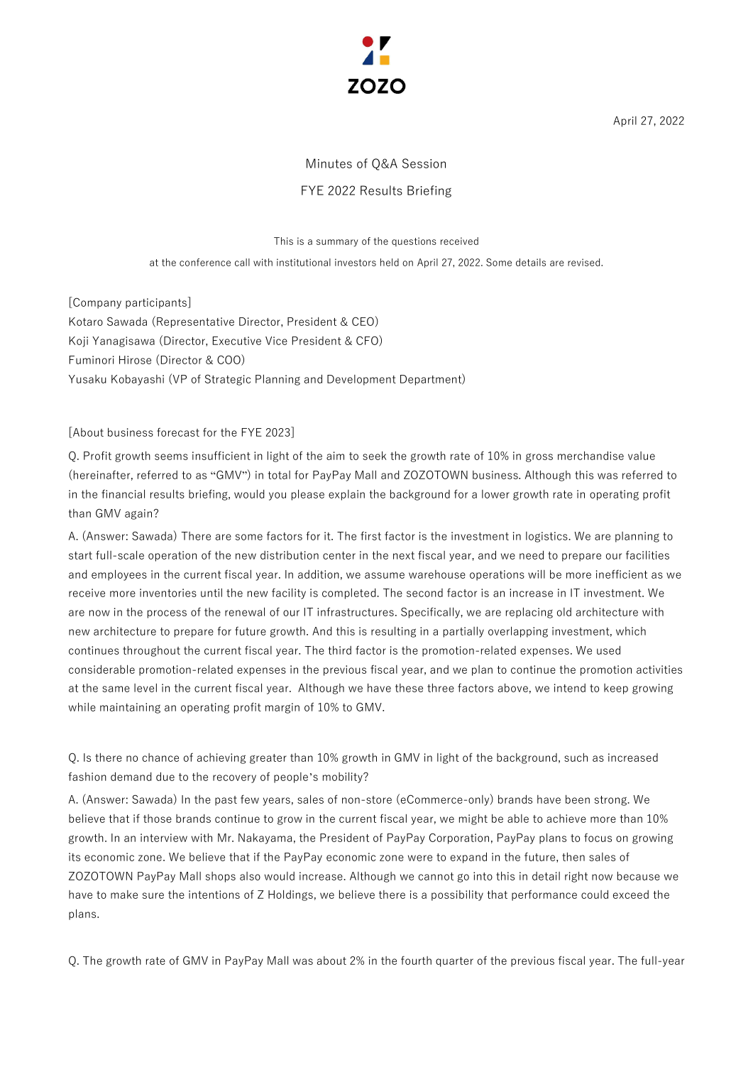

April 27, 2022

# Minutes of Q&A Session FYE 2022 Results Briefing

#### This is a summary of the questions received

at the conference call with institutional investors held on April 27, 2022. Some details are revised.

[Company participants] Kotaro Sawada (Representative Director, President & CEO) Koji Yanagisawa (Director, Executive Vice President & CFO) Fuminori Hirose (Director & COO) Yusaku Kobayashi (VP of Strategic Planning and Development Department)

#### [About business forecast for the FYE 2023]

Q. Profit growth seems insufficient in light of the aim to seek the growth rate of 10% in gross merchandise value (hereinafter, referred to as "GMV") in total for PayPay Mall and ZOZOTOWN business. Although this was referred to in the financial results briefing, would you please explain the background for a lower growth rate in operating profit than GMV again?

A. (Answer: Sawada) There are some factors for it. The first factor is the investment in logistics. We are planning to start full-scale operation of the new distribution center in the next fiscal year, and we need to prepare our facilities and employees in the current fiscal year. In addition, we assume warehouse operations will be more inefficient as we receive more inventories until the new facility is completed. The second factor is an increase in IT investment. We are now in the process of the renewal of our IT infrastructures. Specifically, we are replacing old architecture with new architecture to prepare for future growth. And this is resulting in a partially overlapping investment, which continues throughout the current fiscal year. The third factor is the promotion-related expenses. We used considerable promotion-related expenses in the previous fiscal year, and we plan to continue the promotion activities at the same level in the current fiscal year. Although we have these three factors above, we intend to keep growing while maintaining an operating profit margin of 10% to GMV.

Q. Is there no chance of achieving greater than 10% growth in GMV in light of the background, such as increased fashion demand due to the recovery of people's mobility?

A. (Answer: Sawada) In the past few years, sales of non-store (eCommerce-only) brands have been strong. We believe that if those brands continue to grow in the current fiscal year, we might be able to achieve more than 10% growth. In an interview with Mr. Nakayama, the President of PayPay Corporation, PayPay plans to focus on growing its economic zone. We believe that if the PayPay economic zone were to expand in the future, then sales of ZOZOTOWN PayPay Mall shops also would increase. Although we cannot go into this in detail right now because we have to make sure the intentions of Z Holdings, we believe there is a possibility that performance could exceed the plans.

Q. The growth rate of GMV in PayPay Mall was about 2% in the fourth quarter of the previous fiscal year. The full-year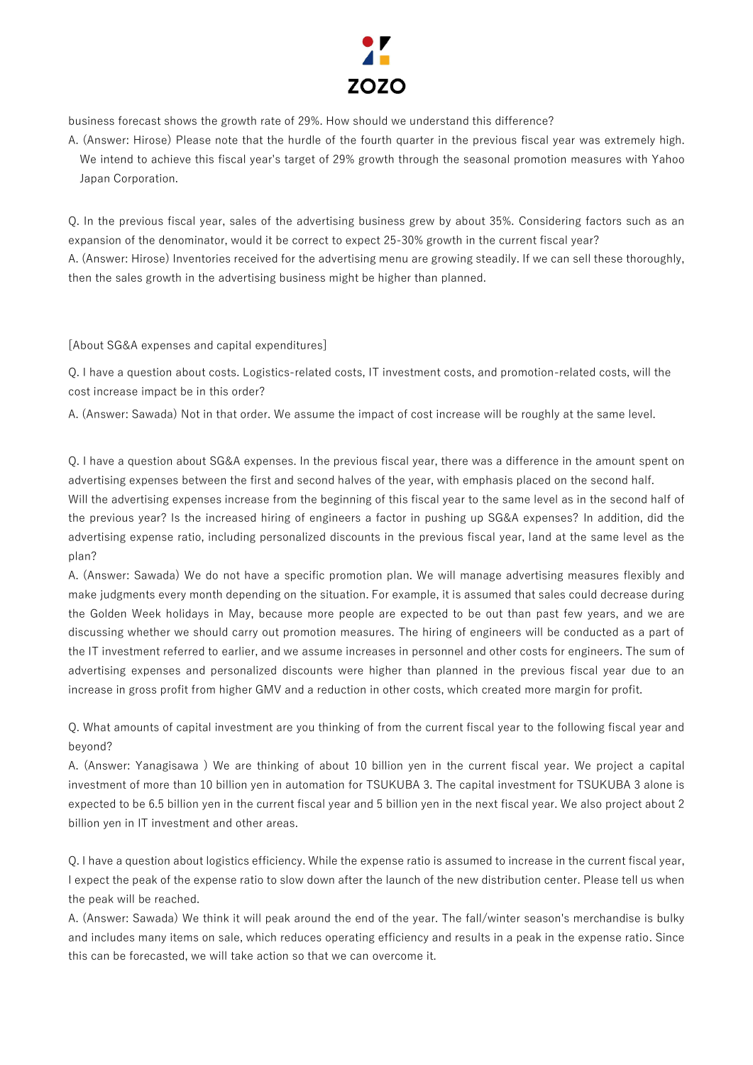

business forecast shows the growth rate of 29%. How should we understand this difference?

A. (Answer: Hirose) Please note that the hurdle of the fourth quarter in the previous fiscal year was extremely high. We intend to achieve this fiscal year's target of 29% growth through the seasonal promotion measures with Yahoo Japan Corporation.

Q. In the previous fiscal year, sales of the advertising business grew by about 35%. Considering factors such as an expansion of the denominator, would it be correct to expect 25-30% growth in the current fiscal year? A. (Answer: Hirose) Inventories received for the advertising menu are growing steadily. If we can sell these thoroughly, then the sales growth in the advertising business might be higher than planned.

[About SG&A expenses and capital expenditures]

Q. I have a question about costs. Logistics-related costs, IT investment costs, and promotion-related costs, will the cost increase impact be in this order?

A. (Answer: Sawada) Not in that order. We assume the impact of cost increase will be roughly at the same level.

Q. I have a question about SG&A expenses. In the previous fiscal year, there was a difference in the amount spent on advertising expenses between the first and second halves of the year, with emphasis placed on the second half.

Will the advertising expenses increase from the beginning of this fiscal year to the same level as in the second half of the previous year? Is the increased hiring of engineers a factor in pushing up SG&A expenses? In addition, did the advertising expense ratio, including personalized discounts in the previous fiscal year, land at the same level as the plan?

A. (Answer: Sawada) We do not have a specific promotion plan. We will manage advertising measures flexibly and make judgments every month depending on the situation. For example, it is assumed that sales could decrease during the Golden Week holidays in May, because more people are expected to be out than past few years, and we are discussing whether we should carry out promotion measures. The hiring of engineers will be conducted as a part of the IT investment referred to earlier, and we assume increases in personnel and other costs for engineers. The sum of advertising expenses and personalized discounts were higher than planned in the previous fiscal year due to an increase in gross profit from higher GMV and a reduction in other costs, which created more margin for profit.

Q. What amounts of capital investment are you thinking of from the current fiscal year to the following fiscal year and beyond?

A. (Answer: Yanagisawa ) We are thinking of about 10 billion yen in the current fiscal year. We project a capital investment of more than 10 billion yen in automation for TSUKUBA 3. The capital investment for TSUKUBA 3 alone is expected to be 6.5 billion yen in the current fiscal year and 5 billion yen in the next fiscal year. We also project about 2 billion yen in IT investment and other areas.

Q. I have a question about logistics efficiency. While the expense ratio is assumed to increase in the current fiscal year, I expect the peak of the expense ratio to slow down after the launch of the new distribution center. Please tell us when the peak will be reached.

A. (Answer: Sawada) We think it will peak around the end of the year. The fall/winter season's merchandise is bulky and includes many items on sale, which reduces operating efficiency and results in a peak in the expense ratio. Since this can be forecasted, we will take action so that we can overcome it.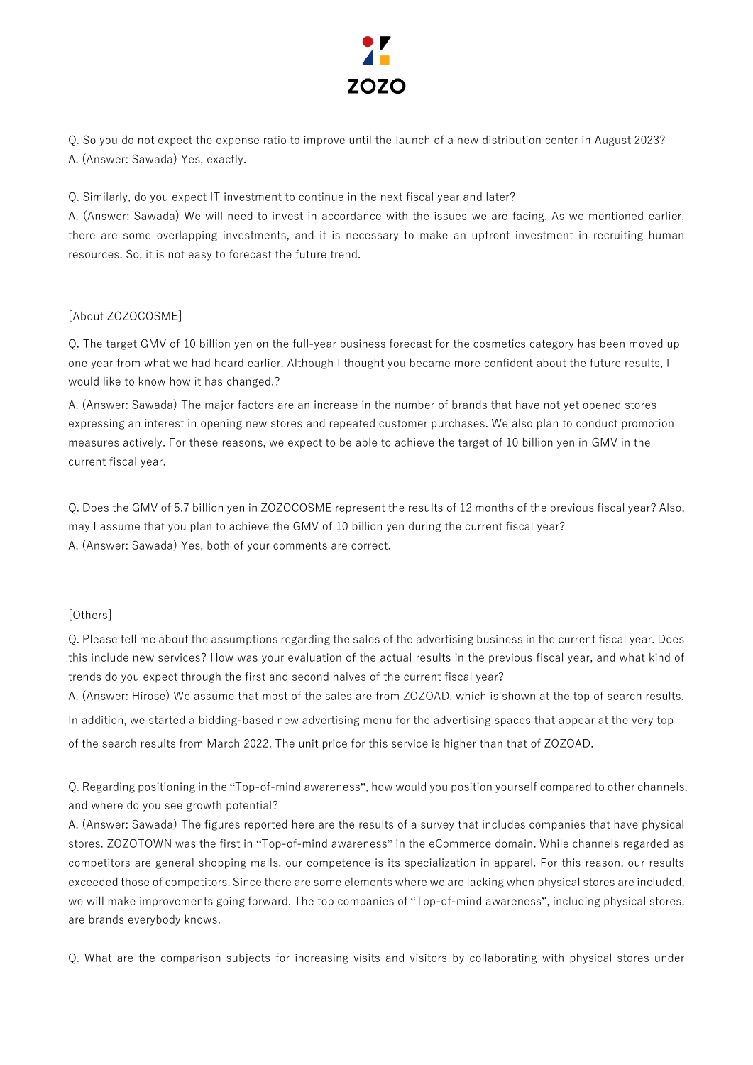

Q. So you do not expect the expense ratio to improve until the launch of a new distribution center in August 2023? A. (Answer: Sawada) Yes, exactly.

Q. Similarly, do you expect IT investment to continue in the next fiscal year and later?

A. (Answer: Sawada) We will need to invest in accordance with the issues we are facing. As we mentioned earlier, there are some overlapping investments, and it is necessary to make an upfront investment in recruiting human resources. So, it is not easy to forecast the future trend.

## [About ZOZOCOSME]

Q. The target GMV of 10 billion yen on the full-year business forecast for the cosmetics category has been moved up one year from what we had heard earlier. Although I thought you became more confident about the future results, I would like to know how it has changed.?

A. (Answer: Sawada) The major factors are an increase in the number of brands that have not yet opened stores expressing an interest in opening new stores and repeated customer purchases. We also plan to conduct promotion measures actively. For these reasons, we expect to be able to achieve the target of 10 billion yen in GMV in the current fiscal year.

Q. Does the GMV of 5.7 billion yen in ZOZOCOSME represent the results of 12 months of the previous fiscal year? Also, may I assume that you plan to achieve the GMV of 10 billion yen during the current fiscal year? A. (Answer: Sawada) Yes, both of your comments are correct.

## [Others]

Q. Please tell me about the assumptions regarding the sales of the advertising business in the current fiscal year. Does this include new services? How was your evaluation of the actual results in the previous fiscal year, and what kind of trends do you expect through the first and second halves of the current fiscal year?

A. (Answer: Hirose) We assume that most of the sales are from ZOZOAD, which is shown at the top of search results. In addition, we started a bidding-based new advertising menu for the advertising spaces that appear at the very top of the search results from March 2022. The unit price for this service is higher than that of ZOZOAD.

Q. Regarding positioning in the "Top-of-mind awareness", how would you position yourself compared to other channels, and where do you see growth potential?

A. (Answer: Sawada) The figures reported here are the results of a survey that includes companies that have physical stores. ZOZOTOWN was the first in "Top-of-mind awareness" in the eCommerce domain. While channels regarded as competitors are general shopping malls, our competence is its specialization in apparel. For this reason, our results exceeded those of competitors. Since there are some elements where we are lacking when physical stores are included, we will make improvements going forward. The top companies of "Top-of-mind awareness", including physical stores, are brands everybody knows.

Q. What are the comparison subjects for increasing visits and visitors by collaborating with physical stores under